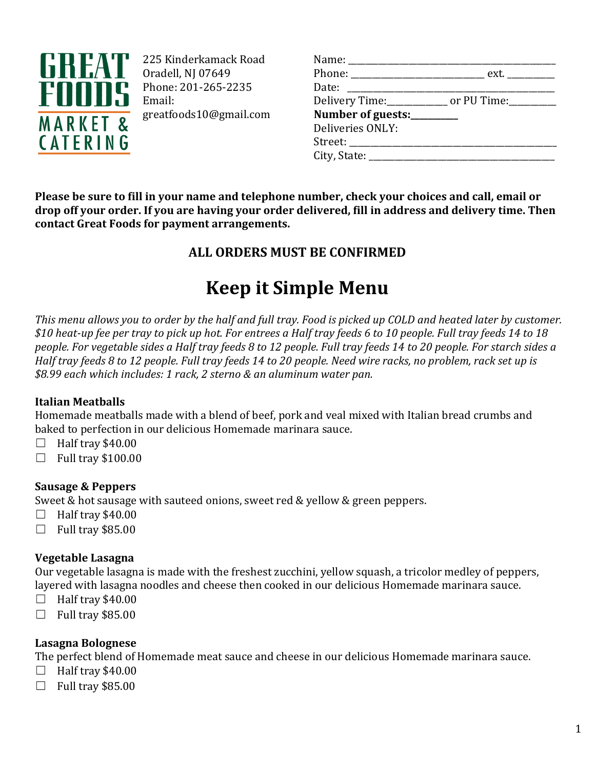

225 Kinderkamack Road Oradell, NJ 07649 Phone: 201-265-2235 Email: greatfoods10@gmail.com

| Name: _______________________     |                                                            |
|-----------------------------------|------------------------------------------------------------|
|                                   | Phone: __________________________________ ext. ___________ |
| Date: ____________________        |                                                            |
|                                   | Delivery Time:_____________ or PU Time:_________           |
| Number of guests:_________        |                                                            |
| Deliveries ONLY:                  |                                                            |
| Street: _________________________ |                                                            |
| City, State: $\qquad \qquad$      |                                                            |
|                                   |                                                            |

**Please be sure to fill in your name and telephone number, check your choices and call, email or drop off your order. If you are having your order delivered, fill in address and delivery time. Then contact Great Foods for payment arrangements.**

## **ALL ORDERS MUST BE CONFIRMED**

# **Keep it Simple Menu**

*This menu allows you to order by the half and full tray. Food is picked up COLD and heated later by customer. \$10 heat-up fee per tray to pick up hot. For entrees a Half tray feeds 6 to 10 people. Full tray feeds 14 to 18 people. For vegetable sides a Half tray feeds 8 to 12 people. Full tray feeds 14 to 20 people. For starch sides a Half tray feeds 8 to 12 people. Full tray feeds 14 to 20 people. Need wire racks, no problem, rack set up is \$8.99 each which includes: 1 rack, 2 sterno & an aluminum water pan.*

#### **Italian Meatballs**

Homemade meatballs made with a blend of beef, pork and veal mixed with Italian bread crumbs and baked to perfection in our delicious Homemade marinara sauce.

- $\Box$  Half tray \$40.00
- $\Box$  Full tray \$100.00

### **Sausage & Peppers**

Sweet & hot sausage with sauteed onions, sweet red & yellow & green peppers.

- $\Box$  Half tray \$40.00
- $\Box$  Full tray \$85.00

#### **Vegetable Lasagna**

Our vegetable lasagna is made with the freshest zucchini, yellow squash, a tricolor medley of peppers, layered with lasagna noodles and cheese then cooked in our delicious Homemade marinara sauce.

- $\Box$  Half tray \$40.00
- $\Box$  Full tray \$85.00

#### **Lasagna Bolognese**

The perfect blend of Homemade meat sauce and cheese in our delicious Homemade marinara sauce.

- $\Box$  Half tray \$40.00
- $\Box$  Full tray \$85.00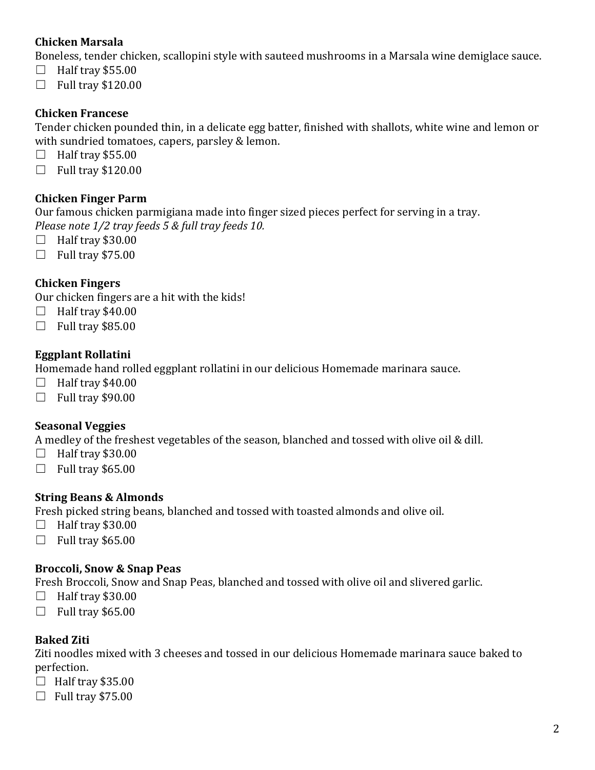#### **Chicken Marsala**

Boneless, tender chicken, scallopini style with sauteed mushrooms in a Marsala wine demiglace sauce.

- $\Box$  Half tray \$55.00
- $\Box$  Full tray \$120.00

#### **Chicken Francese**

Tender chicken pounded thin, in a delicate egg batter, finished with shallots, white wine and lemon or with sundried tomatoes, capers, parsley & lemon.

- $\Box$  Half tray \$55.00
- $\Box$  Full tray \$120.00

#### **Chicken Finger Parm**

Our famous chicken parmigiana made into finger sized pieces perfect for serving in a tray. *Please note 1/2 tray feeds 5 & full tray feeds 10.*

- $\Box$  Half tray \$30.00
- $\Box$  Full tray \$75.00

#### **Chicken Fingers**

Our chicken fingers are a hit with the kids!

- $\Box$  Half tray \$40.00
- $\Box$  Full tray \$85.00

#### **Eggplant Rollatini**

Homemade hand rolled eggplant rollatini in our delicious Homemade marinara sauce.

- $\Box$  Half tray \$40.00
- $\Box$  Full trav \$90.00

#### **Seasonal Veggies**

A medley of the freshest vegetables of the season, blanched and tossed with olive oil & dill.

- $\Box$  Half tray \$30.00
- $\Box$  Full tray \$65.00

#### **String Beans & Almonds**

Fresh picked string beans, blanched and tossed with toasted almonds and olive oil.

- $\Box$  Half tray \$30.00
- $\Box$  Full tray \$65.00

#### **Broccoli, Snow & Snap Peas**

Fresh Broccoli, Snow and Snap Peas, blanched and tossed with olive oil and slivered garlic.

- $\Box$  Half tray \$30.00
- $\Box$  Full tray \$65.00

#### **Baked Ziti**

Ziti noodles mixed with 3 cheeses and tossed in our delicious Homemade marinara sauce baked to perfection.

- $\Box$  Half tray \$35.00
- $\Box$  Full tray \$75.00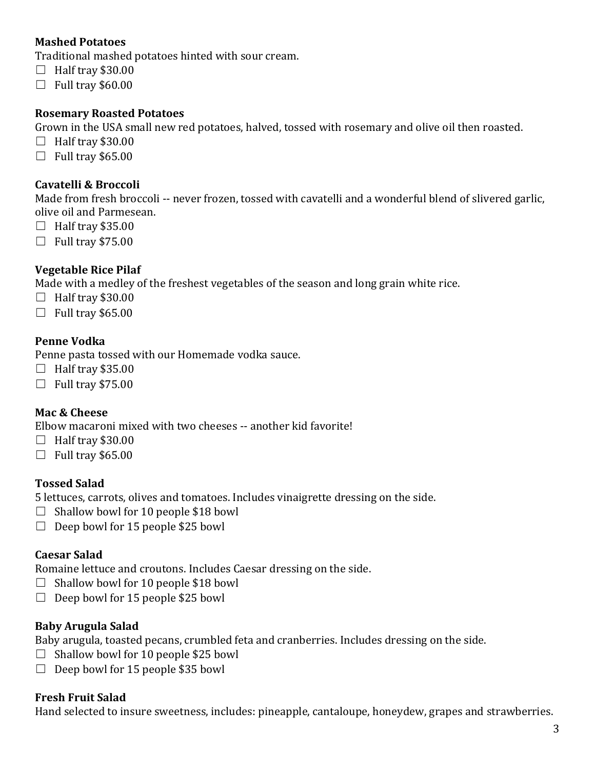#### **Mashed Potatoes**

Traditional mashed potatoes hinted with sour cream.

- $\Box$  Half tray \$30.00
- $\Box$  Full tray \$60.00

#### **Rosemary Roasted Potatoes**

Grown in the USA small new red potatoes, halved, tossed with rosemary and olive oil then roasted.

- $\Box$  Half tray \$30.00
- $\Box$  Full trav \$65.00

#### **Cavatelli & Broccoli**

Made from fresh broccoli -- never frozen, tossed with cavatelli and a wonderful blend of slivered garlic, olive oil and Parmesean.

- $\Box$  Half tray \$35.00
- $\Box$  Full tray \$75.00

#### **Vegetable Rice Pilaf**

Made with a medley of the freshest vegetables of the season and long grain white rice.

- $\Box$  Half tray \$30.00
- $\Box$  Full tray \$65.00

#### **Penne Vodka**

Penne pasta tossed with our Homemade vodka sauce.

- $\Box$  Half tray \$35.00
- $\Box$  Full tray \$75.00

#### **Mac & Cheese**

Elbow macaroni mixed with two cheeses -- another kid favorite!

- $\Box$  Half tray \$30.00
- $\Box$  Full trav \$65.00

#### **Tossed Salad**

5 lettuces, carrots, olives and tomatoes. Includes vinaigrette dressing on the side.

- $\Box$  Shallow bowl for 10 people \$18 bowl
- $\Box$  Deep bowl for 15 people \$25 bowl

#### **Caesar Salad**

Romaine lettuce and croutons. Includes Caesar dressing on the side.

- $\Box$  Shallow bowl for 10 people \$18 bowl
- $\Box$  Deep bowl for 15 people \$25 bowl

#### **Baby Arugula Salad**

Baby arugula, toasted pecans, crumbled feta and cranberries. Includes dressing on the side.

- $\Box$  Shallow bowl for 10 people \$25 bowl
- $\Box$  Deep bowl for 15 people \$35 bowl

#### **Fresh Fruit Salad**

Hand selected to insure sweetness, includes: pineapple, cantaloupe, honeydew, grapes and strawberries.